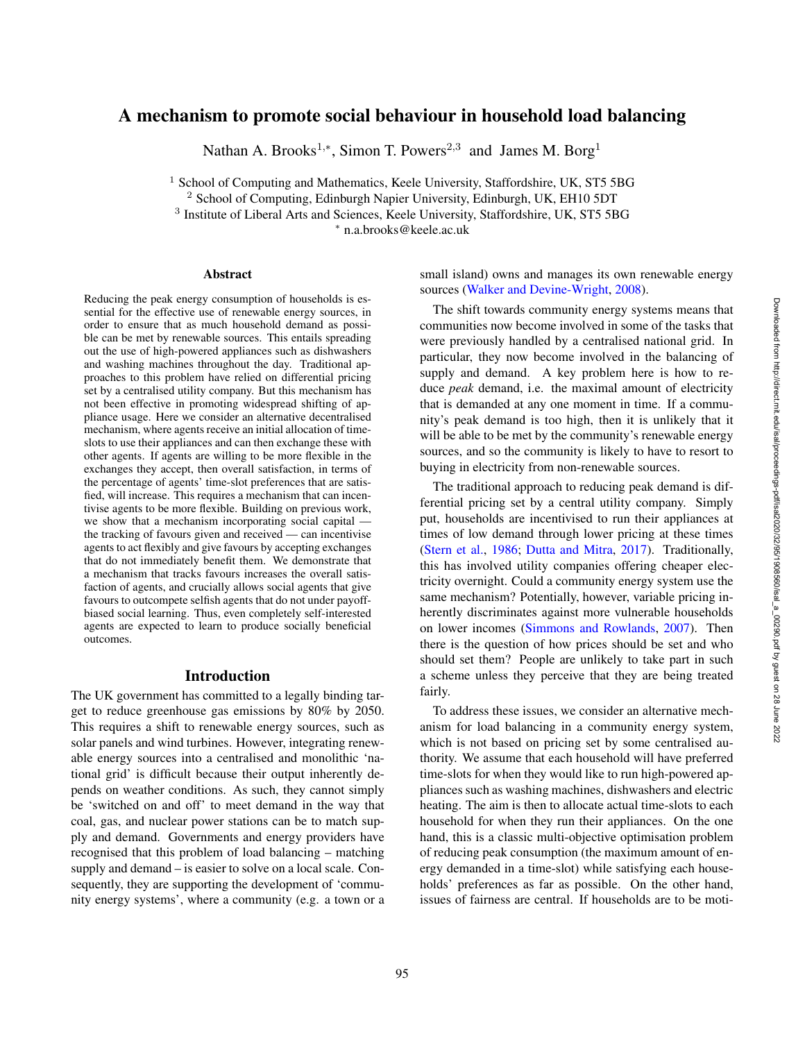# A mechanism to promote social behaviour in household load balancing

Nathan A. Brooks<sup>1,\*</sup>, Simon T. Powers<sup>2,3</sup> and James M. Borg<sup>1</sup>

<sup>1</sup> School of Computing and Mathematics, Keele University, Staffordshire, UK, ST5 5BG

<sup>2</sup> School of Computing, Edinburgh Napier University, Edinburgh, UK, EH10 5DT

<sup>3</sup> Institute of Liberal Arts and Sciences, Keele University, Staffordshire, UK, ST5 5BG

∗ n.a.brooks@keele.ac.uk

### Abstract

Reducing the peak energy consumption of households is essential for the effective use of renewable energy sources, in order to ensure that as much household demand as possible can be met by renewable sources. This entails spreading out the use of high-powered appliances such as dishwashers and washing machines throughout the day. Traditional approaches to this problem have relied on differential pricing set by a centralised utility company. But this mechanism has not been effective in promoting widespread shifting of appliance usage. Here we consider an alternative decentralised mechanism, where agents receive an initial allocation of timeslots to use their appliances and can then exchange these with other agents. If agents are willing to be more flexible in the exchanges they accept, then overall satisfaction, in terms of the percentage of agents' time-slot preferences that are satisfied, will increase. This requires a mechanism that can incentivise agents to be more flexible. Building on previous work, we show that a mechanism incorporating social capital the tracking of favours given and received — can incentivise agents to act flexibly and give favours by accepting exchanges that do not immediately benefit them. We demonstrate that a mechanism that tracks favours increases the overall satisfaction of agents, and crucially allows social agents that give favours to outcompete selfish agents that do not under payoffbiased social learning. Thus, even completely self-interested agents are expected to learn to produce socially beneficial outcomes.

### Introduction

The UK government has committed to a legally binding target to reduce greenhouse gas emissions by 80% by 2050. This requires a shift to renewable energy sources, such as solar panels and wind turbines. However, integrating renewable energy sources into a centralised and monolithic 'national grid' is difficult because their output inherently depends on weather conditions. As such, they cannot simply be 'switched on and off' to meet demand in the way that coal, gas, and nuclear power stations can be to match supply and demand. Governments and energy providers have recognised that this problem of load balancing – matching supply and demand – is easier to solve on a local scale. Consequently, they are supporting the development of 'community energy systems', where a community (e.g. a town or a small island) owns and manages its own renewable energy sources (Walker and Devine-Wright, 2008).

The shift towards community energy systems means that communities now become involved in some of the tasks that were previously handled by a centralised national grid. In particular, they now become involved in the balancing of supply and demand. A key problem here is how to reduce *peak* demand, i.e. the maximal amount of electricity that is demanded at any one moment in time. If a community's peak demand is too high, then it is unlikely that it will be able to be met by the community's renewable energy sources, and so the community is likely to have to resort to buying in electricity from non-renewable sources.

The traditional approach to reducing peak demand is differential pricing set by a central utility company. Simply put, households are incentivised to run their appliances at times of low demand through lower pricing at these times (Stern et al., 1986; Dutta and Mitra, 2017). Traditionally, this has involved utility companies offering cheaper electricity overnight. Could a community energy system use the same mechanism? Potentially, however, variable pricing inherently discriminates against more vulnerable households on lower incomes (Simmons and Rowlands , 2007). Then there is the question of how prices should be set and who should set them? People are unlikely to take part in such a scheme unless they perceive that they are being treated fairly.

To address these issues, we consider an alternative mechanism for load balancing in a community energy system, which is not based on pricing set by some centralised authority. We assume that each household will have preferred time-slots for when they would like to run high-powered appliances such as washing machines, dishwashers and electric heating. The aim is then to allocate actual time-slots to each household for when they run their appliances. On the one hand, this is a classic multi-objective optimisation problem of reducing peak consumption (the maximum amount of energy demanded in a time-slot) while satisfying each households' preferences as far as possible. On the other hand, issues of fairness are central. If households are to be moti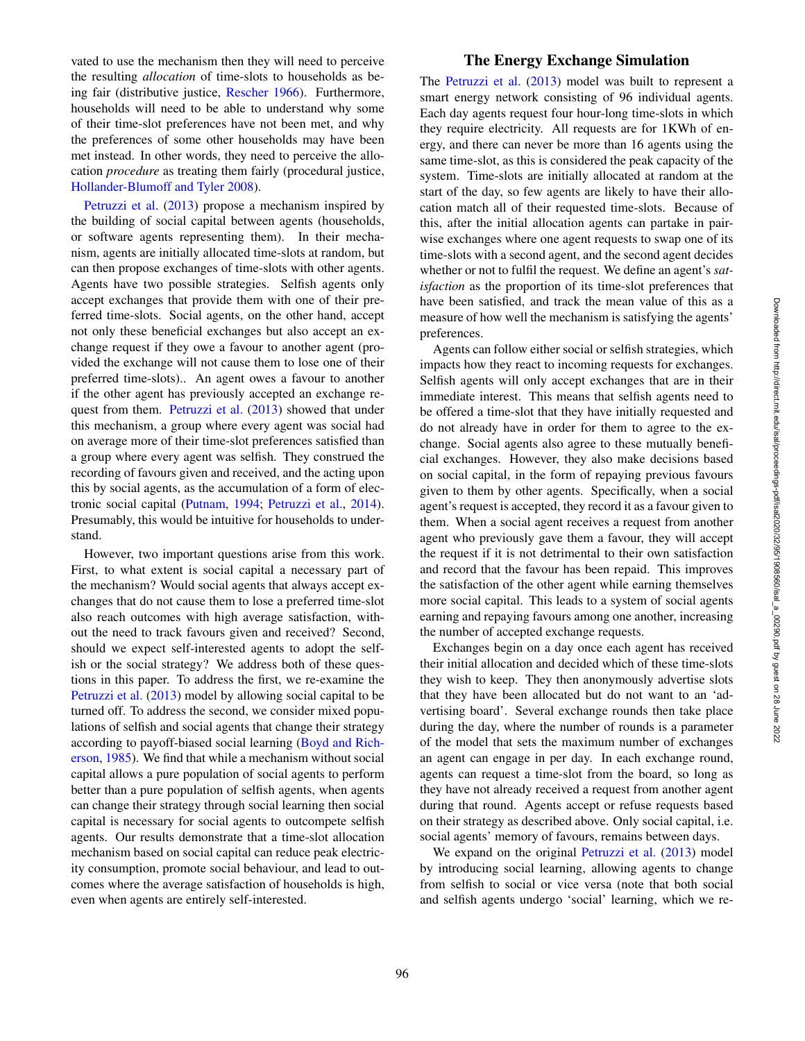vated to use the mechanism then they will need to perceive the resulting *allocation* of time-slots to households as being fair (distributive justice, Rescher 1966). Furthermore, households will need to be able to understand why some of their time-slot preferences have not been met, and why the preferences of some other households may have been met instead. In other words, they need to perceive the allocation *procedure* as treating them fairly (procedural justice, Hollander-Blumoff and Tyler 2008).

Petruzzi et al. (2013) propose a mechanism inspired by the building of social capital between agents (households, or software agents representing them). In their mechanism, agents are initially allocated time-slots at random, but can then propose exchanges of time-slots with other agents. Agents have two possible strategies. Selfish agents only accept exchanges that provide them with one of their preferred time-slots. Social agents, on the other hand, accept not only these beneficial exchanges but also accept an exchange request if they owe a favour to another agent (provided the exchange will not cause them to lose one of their preferred time-slots).. An agent owes a favour to another if the other agent has previously accepted an exchange request from them. Petruzzi et al. (2013) showed that under this mechanism, a group where every agent was social had on average more of their time-slot preferences satisfied than a group where every agent was selfish. They construed the recording of favours given and received, and the acting upon this by social agents, as the accumulation of a form of electronic social capital (Putnam, 1994; Petruzzi et al., 2014). Presumably, this would be intuitive for households to understand.

However, two important questions arise from this work. First, to what extent is social capital a necessary part of the mechanism? Would social agents that always accept exchanges that do not cause them to lose a preferred time-slot also reach outcomes with high average satisfaction, without the need to track favours given and received? Second, should we expect self-interested agents to adopt the selfish or the social strategy? We address both of these questions in this paper. To address the first, we re-examine the Petruzzi et al. (2013) model by allowing social capital to be turned off. To address the second, we consider mixed populations of selfish and social agents that change their strategy according to payoff-biased social learning (Boyd and Richerson, 1985). We find that while a mechanism without social capital allows a pure population of social agents to perform better than a pure population of selfish agents, when agents can change their strategy through social learning then social capital is necessary for social agents to outcompete selfish agents. Our results demonstrate that a time-slot allocation mechanism based on social capital can reduce peak electricity consumption, promote social behaviour, and lead to outcomes where the average satisfaction of households is high, even when agents are entirely self-interested.

## The Energy Exchange Simulation

The Petruzzi et al. (2013) model was built to represent a smart energy network consisting of 96 individual agents. Each day agents request four hour-long time-slots in which they require electricity. All requests are for 1KWh of energy, and there can never be more than 16 agents using the same time-slot, as this is considered the peak capacity of the system. Time-slots are initially allocated at random at the start of the day, so few agents are likely to have their allocation match all of their requested time-slots. Because of this, after the initial allocation agents can partake in pairwise exchanges where one agent requests to swap one of its time-slots with a second agent, and the second agent decides whether or not to fulfil the request. We define an agent's *satisfaction* as the proportion of its time-slot preferences that have been satisfied, and track the mean value of this as a measure of how well the mechanism is satisfying the agents' preferences.

Agents can follow either social or selfish strategies, which impacts how they react to incoming requests for exchanges. Selfish agents will only accept exchanges that are in their immediate interest. This means that selfish agents need to be offered a time-slot that they have initially requested and do not already have in order for them to agree to the exchange. Social agents also agree to these mutually beneficial exchanges. However, they also make decisions based on social capital, in the form of repaying previous favours given to them by other agents. Specifically, when a social agent's request is accepted, they record it as a favour given to them. When a social agent receives a request from another agent who previously gave them a favour, they will accept the request if it is not detrimental to their own satisfaction and record that the favour has been repaid. This improves the satisfaction of the other agent while earning themselves more social capital. This leads to a system of social agents earning and repaying favours among one another, increasing the number of accepted exchange requests.

Exchanges begin on a day once each agent has received their initial allocation and decided which of these time-slots they wish to keep. They then anonymously advertise slots that they have been allocated but do not want to an 'advertising board'. Several exchange rounds then take place during the day, where the number of rounds is a parameter of the model that sets the maximum number of exchanges an agent can engage in per day. In each exchange round, agents can request a time-slot from the board, so long as they have not already received a request from another agent during that round. Agents accept or refuse requests based on their strategy as described above. Only social capital, i.e. social agents' memory of favours, remains between days.

We expand on the original Petruzzi et al. (2013) model by introducing social learning, allowing agents to change from selfish to social or vice versa (note that both social and selfish agents undergo 'social' learning, which we re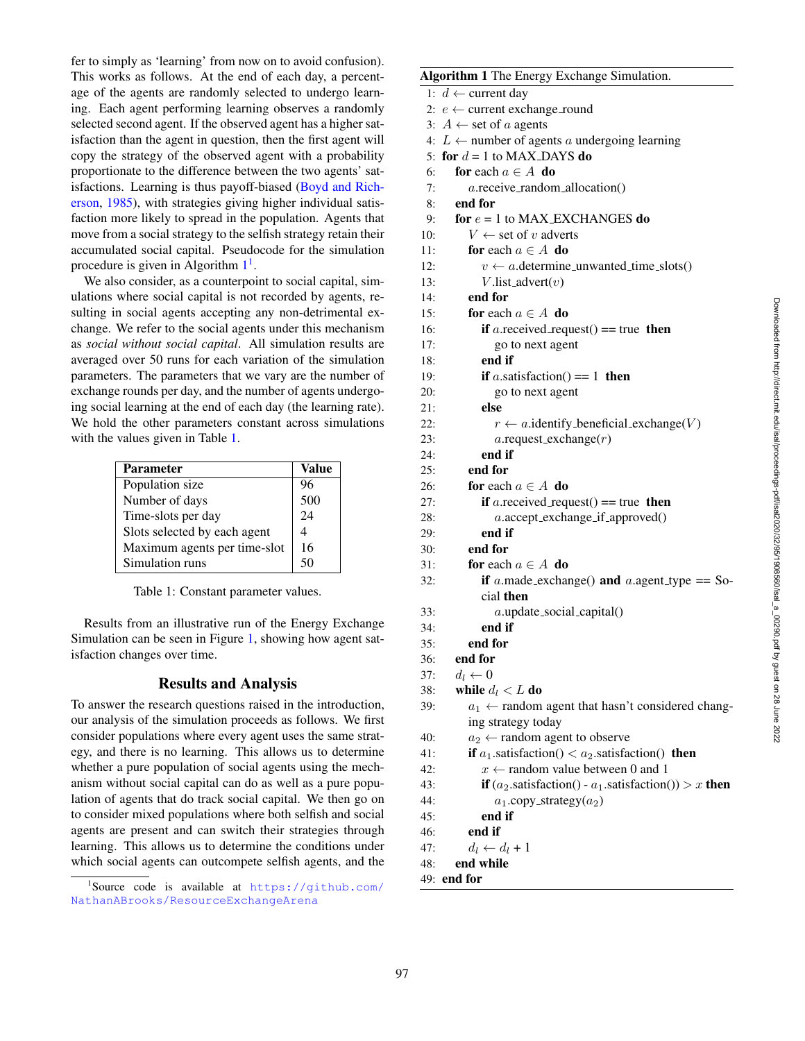fer to simply as 'learning' from now on to avoid confusion). This works as follows. At the end of each day, a percentage of the agents are randomly selected to undergo learning. Each agent performing learning observes a randomly selected second agent. If the observed agent has a higher satisfaction than the agent in question, then the first agent will copy the strategy of the observed agent with a probability proportionate to the difference between the two agents' satisfactions. Learning is thus payoff-biased (Boyd and Richerson, 1985), with strategies giving higher individual satisfaction more likely to spread in the population. Agents that move from a social strategy to the selfish strategy retain their accumulated social capital. Pseudocode for the simulation procedure is given in Algorithm  $1<sup>1</sup>$ .

We also consider, as a counterpoint to social capital, simulations where social capital is not recorded by agents, resulting in social agents accepting any non-detrimental exchange. We refer to the social agents under this mechanism as *social without social capital*. All simulation results are averaged over 50 runs for each variation of the simulation parameters. The parameters that we vary are the number of exchange rounds per day, and the number of agents undergoing social learning at the end of each day (the learning rate). We hold the other parameters constant across simulations with the values given in Table 1.

| <b>Parameter</b>             | Value |
|------------------------------|-------|
| Population size              | 96    |
| Number of days               | 500   |
| Time-slots per day           | 24    |
| Slots selected by each agent | 4     |
| Maximum agents per time-slot | 16    |
| Simulation runs              | 50    |

Table 1: Constant parameter values.

Results from an illustrative run of the Energy Exchange Simulation can be seen in Figure 1, showing how agent satisfaction changes over time.

### Results and Analysis

To answer the research questions raised in the introduction, our analysis of the simulation proceeds as follows. We first consider populations where every agent uses the same strategy, and there is no learning. This allows us to determine whether a pure population of social agents using the mechanism without social capital can do as well as a pure population of agents that do track social capital. We then go on to consider mixed populations where both selfish and social agents are present and can switch their strategies through learning. This allows us to determine the conditions under which social agents can outcompete selfish agents, and the

## Algorithm 1 The Energy Exchange Simulation.

```
1: d ← current day
 2: e \leftarrow current exchange_round
 3: A \leftarrow set of a agents
 4: L ← number of agents a undergoing learning
 5: for d = 1 to MAX_DAYS do
 6: for each a \in A do
 7:
         a.receive_random_allocation()
 8: end for
 9: for e = 1 to MAX_EXCHANGES do
10:V \leftarrow set of v adverts
11: for each a \in A do
12:
           v \leftarrow a. determine _unwanted_time _slots()
13:
           V.list_advert(v)14: end for
15: for each a \in A do
16:if a.received request() == true then
17: go to next agent
18: end if
19:if a.satisfaction() == 1 then
20: go to next agent
21: else
22:
              r \leftarrow a.identify_beneficial_exchange(V)
23:
              a.request_exchange(r)24: end if
25: end for
26: for each a \in A do
27:if a.received_request() == true then
28:
             a.accept exchange if approved()
29: end if
30: end for
31: for each a \in A do
32:a.made_exchange() and a.agent_type == So-
           cial then
33:
             a.update social capital()
34: end if
35: end for
36: end for
37:
      d_l \leftarrow 038: while d_l < L do
39:
         a_1 \leftarrow random agent that hasn't considered chang-
        ing strategy today
40:
         a_2 \leftarrow random agent to observe
41:a_1.satisfaction() < a_2.satisfaction() then
42:
           x \leftarrow random value between 0 and 1
43:(a_2.satisfaction() - a_1.satisfaction()) > x then
44:
              a_1.copy_strategy(a_2)45: end if
46: end if
47:
         d_l \leftarrow d_l + 148: end while
49: end for
```
<sup>1</sup> Source code is available at https://github.com/ NathanABrooks/ResourceExchangeArena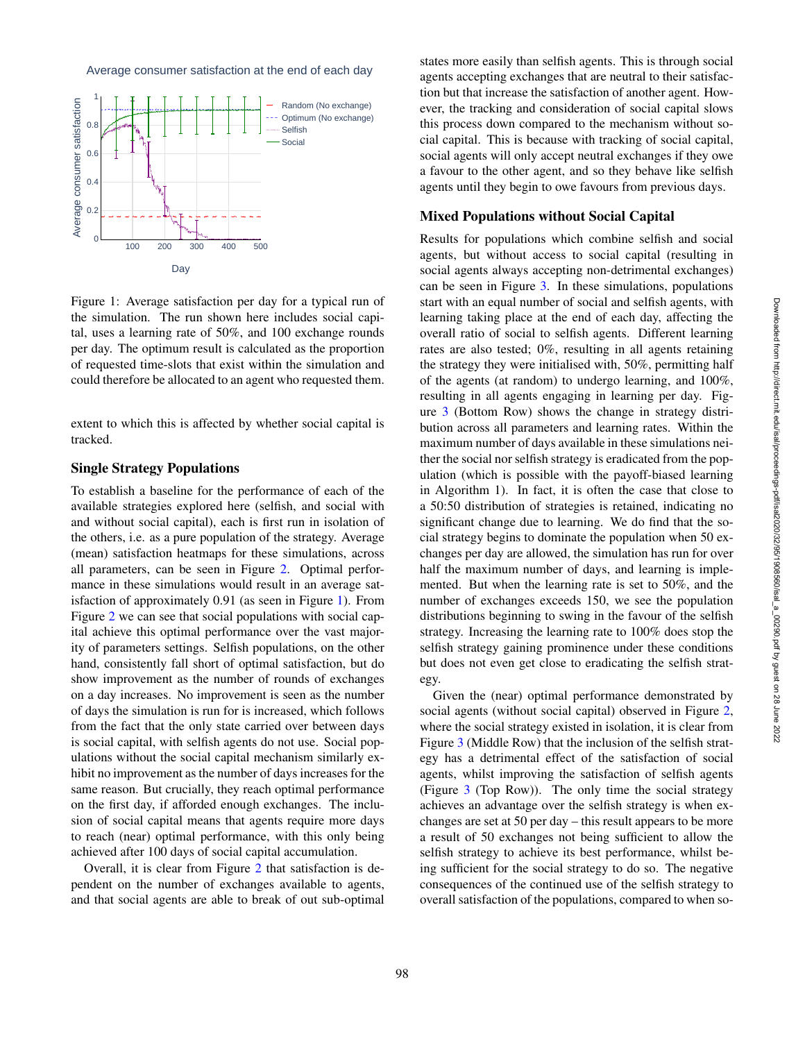Average consumer satisfaction at the end of each day



Figure 1: Average satisfaction per day for a typical run of the simulation. The run shown here includes social capital, uses a learning rate of 50%, and 100 exchange rounds per day. The optimum result is calculated as the proportion of requested time-slots that exist within the simulation and could therefore be allocated to an agent who requested them.

extent to which this is affected by whether social capital is tracked.

### Single Strategy Populations

To establish a baseline for the performance of each of the available strategies explored here (selfish, and social with and without social capital), each is first run in isolation of the others, i.e. as a pure population of the strategy. Average (mean) satisfaction heatmaps for these simulations, across all parameters, can be seen in Figure 2. Optimal performance in these simulations would result in an average satisfaction of approximately 0.91 (as seen in Figure 1). From Figure 2 we can see that social populations with social capital achieve this optimal performance over the vast majority of parameters settings. Selfish populations, on the other hand, consistently fall short of optimal satisfaction, but do show improvement as the number of rounds of exchanges on a day increases. No improvement is seen as the number of days the simulation is run for is increased, which follows from the fact that the only state carried over between days is social capital, with selfish agents do not use. Social populations without the social capital mechanism similarly exhibit no improvement as the number of days increases for the same reason. But crucially, they reach optimal performance on the first day, if afforded enough exchanges. The inclusion of social capital means that agents require more days to reach (near) optimal performance, with this only being achieved after 100 days of social capital accumulation.

Overall, it is clear from Figure 2 that satisfaction is dependent on the number of exchanges available to agents, and that social agents are able to break of out sub-optimal states more easily than selfish agents. This is through social agents accepting exchanges that are neutral to their satisfaction but that increase the satisfaction of another agent. However, the tracking and consideration of social capital slows this process down compared to the mechanism without social capital. This is because with tracking of social capital, social agents will only accept neutral exchanges if they owe a favour to the other agent, and so they behave like selfish agents until they begin to owe favours from previous days.

## Mixed Populations without Social Capital

Results for populations which combine selfish and social agents, but without access to social capital (resulting in social agents always accepting non-detrimental exchanges) can be seen in Figure 3. In these simulations, populations start with an equal number of social and selfish agents, with learning taking place at the end of each day, affecting the overall ratio of social to selfish agents. Different learning rates are also tested; 0%, resulting in all agents retaining the strategy they were initialised with, 50%, permitting half of the agents (at random) to undergo learning, and 100%, resulting in all agents engaging in learning per day. Figure 3 (Bottom Row) shows the change in strategy distribution across all parameters and learning rates. Within the maximum number of days available in these simulations neither the social nor selfish strategy is eradicated from the population (which is possible with the payoff-biased learning in Algorithm 1). In fact, it is often the case that close to a 50:50 distribution of strategies is retained, indicating no significant change due to learning. We do find that the social strategy begins to dominate the population when 50 exchanges per day are allowed, the simulation has run for over half the maximum number of days, and learning is implemented. But when the learning rate is set to 50%, and the number of exchanges exceeds 150, we see the population distributions beginning to swing in the favour of the selfish strategy. Increasing the learning rate to 100% does stop the selfish strategy gaining prominence under these conditions but does not even get close to eradicating the selfish strategy.

Given the (near) optimal performance demonstrated by social agents (without social capital) observed in Figure 2, where the social strategy existed in isolation, it is clear from Figure 3 (Middle Row) that the inclusion of the selfish strategy has a detrimental effect of the satisfaction of social agents, whilst improving the satisfaction of selfish agents (Figure 3 (Top Row)). The only time the social strategy achieves an advantage over the selfish strategy is when exchanges are set at 50 per day – this result appears to be more a result of 50 exchanges not being sufficient to allow the selfish strategy to achieve its best performance, whilst being sufficient for the social strategy to do so. The negative consequences of the continued use of the selfish strategy to overall satisfaction of the populations, compared to when so-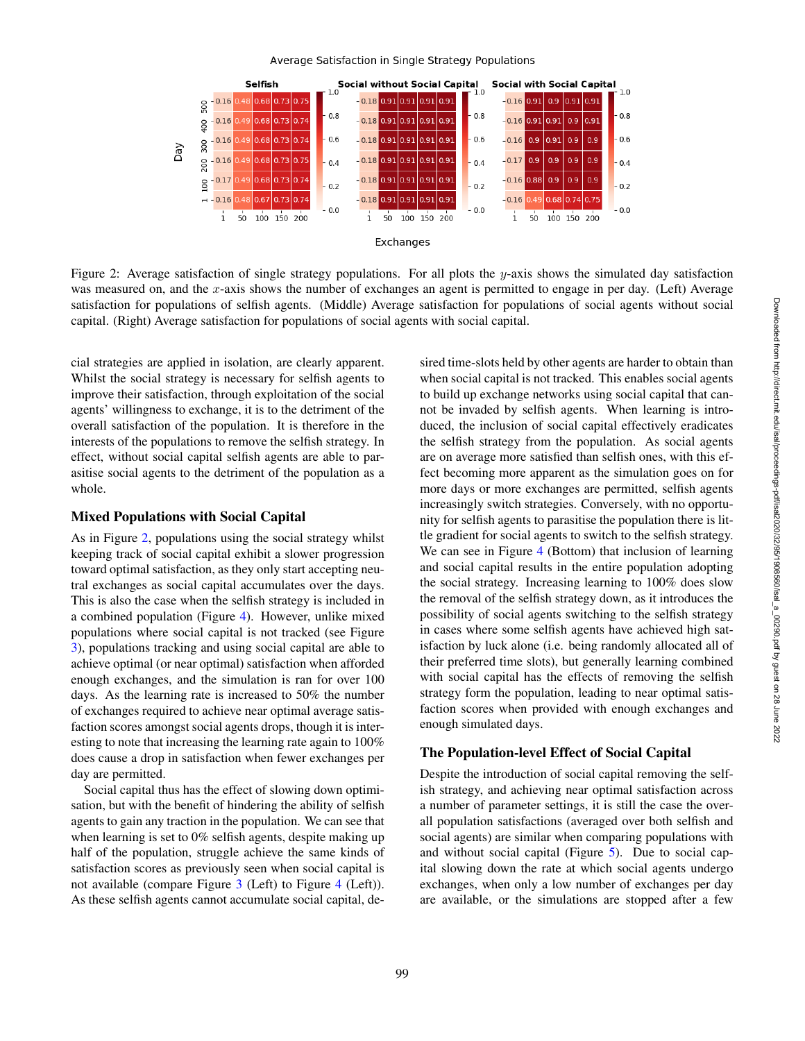#### Average Satisfaction in Single Strategy Populations



Figure 2: Average satisfaction of single strategy populations. For all plots the y-axis shows the simulated day satisfaction was measured on, and the x-axis shows the number of exchanges an agent is permitted to engage in per day. (Left) Average satisfaction for populations of selfish agents. (Middle) Average satisfaction for populations of social agents without social capital. (Right) Average satisfaction for populations of social agents with social capital.

cial strategies are applied in isolation, are clearly apparent. Whilst the social strategy is necessary for selfish agents to improve their satisfaction, through exploitation of the social agents' willingness to exchange, it is to the detriment of the overall satisfaction of the population. It is therefore in the interests of the populations to remove the selfish strategy. In effect, without social capital selfish agents are able to parasitise social agents to the detriment of the population as a whole.

### Mixed Populations with Social Capital

As in Figure 2, populations using the social strategy whilst keeping track of social capital exhibit a slower progression toward optimal satisfaction, as they only start accepting neutral exchanges as social capital accumulates over the days. This is also the case when the selfish strategy is included in a combined population (Figure 4). However, unlike mixed populations where social capital is not tracked (see Figure 3), populations tracking and using social capital are able to achieve optimal (or near optimal) satisfaction when afforded enough exchanges, and the simulation is ran for over 100 days. As the learning rate is increased to 50% the number of exchanges required to achieve near optimal average satisfaction scores amongst social agents drops, though it is interesting to note that increasing the learning rate again to 100% does cause a drop in satisfaction when fewer exchanges per day are permitted.

Social capital thus has the effect of slowing down optimisation, but with the benefit of hindering the ability of selfish agents to gain any traction in the population. We can see that when learning is set to 0% selfish agents, despite making up half of the population, struggle achieve the same kinds of satisfaction scores as previously seen when social capital is not available (compare Figure 3 (Left) to Figure 4 (Left)). As these selfish agents cannot accumulate social capital, desired time-slots held by other agents are harder to obtain than when social capital is not tracked. This enables social agents to build up exchange networks using social capital that cannot be invaded by selfish agents. When learning is introduced, the inclusion of social capital effectively eradicates the selfish strategy from the population. As social agents are on average more satisfied than selfish ones, with this effect becoming more apparent as the simulation goes on for more days or more exchanges are permitted, selfish agents increasingly switch strategies. Conversely, with no opportunity for selfish agents to parasitise the population there is little gradient for social agents to switch to the selfish strategy. We can see in Figure 4 (Bottom) that inclusion of learning and social capital results in the entire population adopting the social strategy. Increasing learning to 100% does slow the removal of the selfish strategy down, as it introduces the possibility of social agents switching to the selfish strategy in cases where some selfish agents have achieved high satisfaction by luck alone (i.e. being randomly allocated all of their preferred time slots), but generally learning combined with social capital has the effects of removing the selfish strategy form the population, leading to near optimal satisfaction scores when provided with enough exchanges and enough simulated days.

### The Population-level Effect of Social Capital

Despite the introduction of social capital removing the selfish strategy, and achieving near optimal satisfaction across a number of parameter settings, it is still the case the overall population satisfactions (averaged over both selfish and social agents) are similar when comparing populations with and without social capital (Figure 5). Due to social capital slowing down the rate at which social agents undergo exchanges, when only a low number of exchanges per day are available, or the simulations are stopped after a few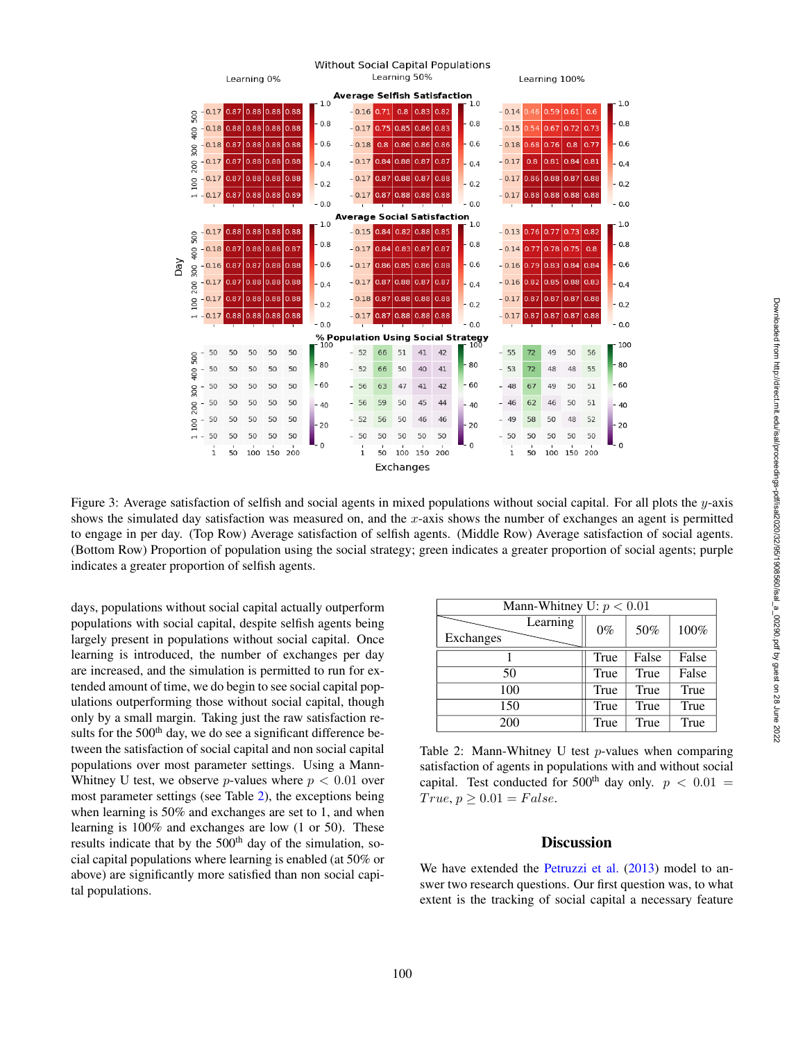

Figure 3: Average satisfaction of selfish and social agents in mixed populations without social capital. For all plots the y-axis shows the simulated day satisfaction was measured on, and the x-axis shows the number of exchanges an agent is permitted to engage in per day. (Top Row) Average satisfaction of selfish agents. (Middle Row) Average satisfaction of social agents. (Bottom Row) Proportion of population using the social strategy; green indicates a greater proportion of social agents; purple indicates a greater proportion of selfish agents.

days, populations without social capital actually outperform populations with social capital, despite selfish agents being largely present in populations without social capital. Once learning is introduced, the number of exchanges per day are increased, and the simulation is permitted to run for extended amount of time, we do begin to see social capital populations outperforming those without social capital, though only by a small margin. Taking just the raw satisfaction results for the  $500<sup>th</sup>$  day, we do see a significant difference between the satisfaction of social capital and non social capital populations over most parameter settings. Using a Mann-Whitney U test, we observe *p*-values where  $p < 0.01$  over most parameter settings (see Table 2), the exceptions being when learning is 50% and exchanges are set to 1, and when learning is 100% and exchanges are low (1 or 50). These results indicate that by the  $500<sup>th</sup>$  day of the simulation, social capital populations where learning is enabled (at 50% or above) are significantly more satisfied than non social capital populations.

| Mann-Whitney U: $p < 0.01$ |       |       |       |
|----------------------------|-------|-------|-------|
| Learning<br>Exchanges      | $0\%$ | 50%   | 100%  |
|                            | True  | False | False |
| 50                         | True  | True  | False |
| 100                        | True  | True  | True  |
| 150                        | True  | True  | True  |
| 200                        | True  | True  | True  |

Table 2: Mann-Whitney U test  $p$ -values when comparing satisfaction of agents in populations with and without social capital. Test conducted for 500<sup>th</sup> day only.  $p < 0.01$  =  $True, p \geq 0.01 = False.$ 

### **Discussion**

We have extended the Petruzzi et al. (2013) model to answer two research questions. Our first question was, to what extent is the tracking of social capital a necessary feature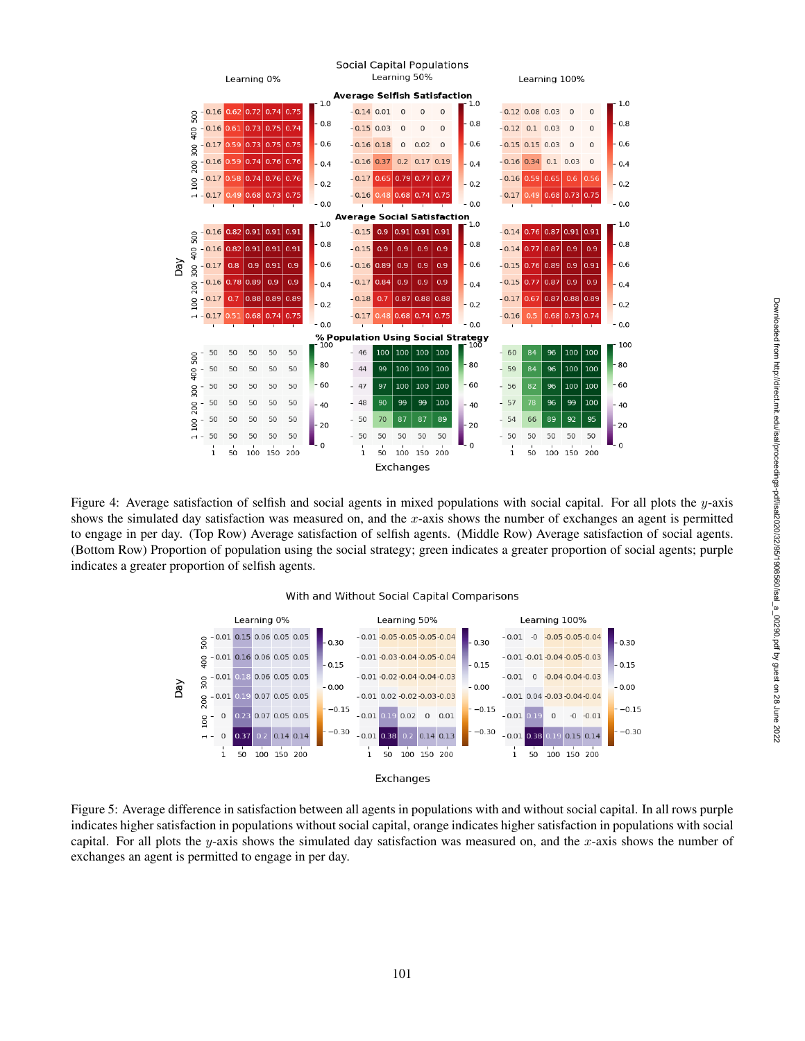

Figure 4: Average satisfaction of selfish and social agents in mixed populations with social capital. For all plots the  $y$ -axis shows the simulated day satisfaction was measured on, and the x-axis shows the number of exchanges an agent is permitted to engage in per day. (Top Row) Average satisfaction of selfish agents. (Middle Row) Average satisfaction of social agents. (Bottom Row) Proportion of population using the social strategy; green indicates a greater proportion of social agents; purple indicates a greater proportion of selfish agents.

#### With and Without Social Capital Comparisons



Figure 5: Average difference in satisfaction between all agents in populations with and without social capital. In all rows purple indicates higher satisfaction in populations without social capital, orange indicates higher satisfaction in populations with social capital. For all plots the y-axis shows the simulated day satisfaction was measured on, and the x-axis shows the number of exchanges an agent is permitted to engage in per day.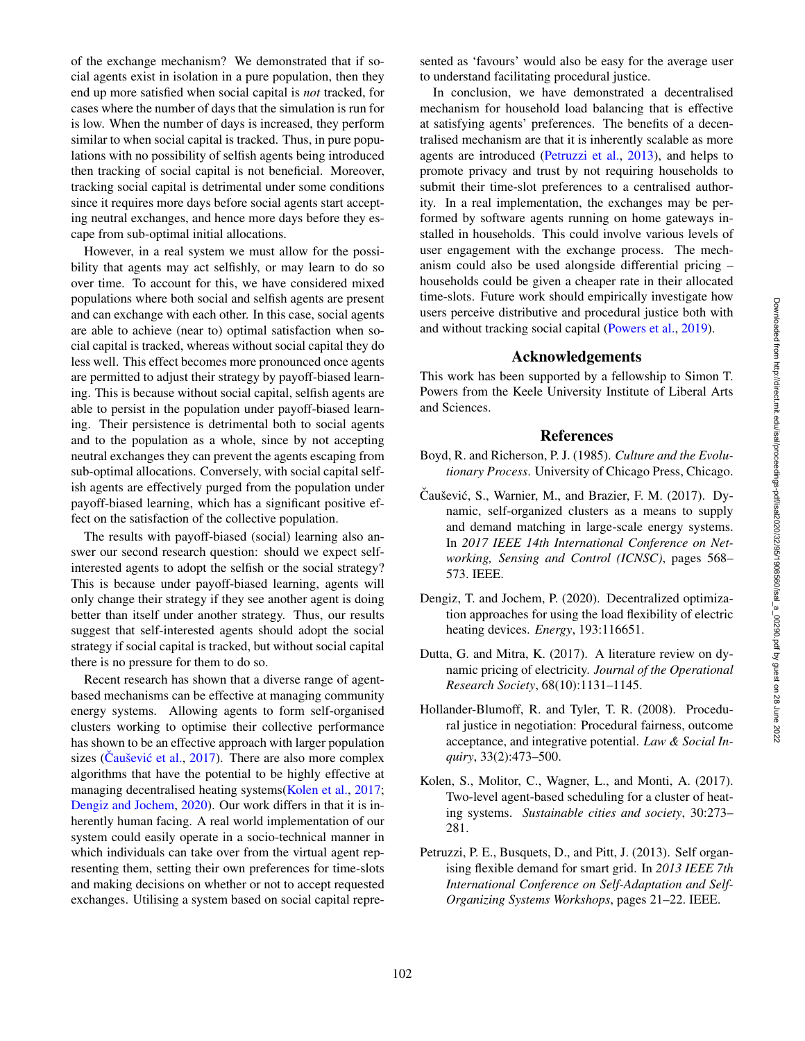of the exchange mechanism? We demonstrated that if social agents exist in isolation in a pure population, then they end up more satisfied when social capital is *not* tracked, for cases where the number of days that the simulation is run for is low. When the number of days is increased, they perform similar to when social capital is tracked. Thus, in pure populations with no possibility of selfish agents being introduced then tracking of social capital is not beneficial. Moreover, tracking social capital is detrimental under some conditions since it requires more days before social agents start accepting neutral exchanges, and hence more days before they escape from sub-optimal initial allocations.

However, in a real system we must allow for the possibility that agents may act selfishly, or may learn to do so over time. To account for this, we have considered mixed populations where both social and selfish agents are present and can exchange with each other. In this case, social agents are able to achieve (near to) optimal satisfaction when social capital is tracked, whereas without social capital they do less well. This effect becomes more pronounced once agents are permitted to adjust their strategy by payoff-biased learning. This is because without social capital, selfish agents are able to persist in the population under payoff-biased learning. Their persistence is detrimental both to social agents and to the population as a whole, since by not accepting neutral exchanges they can prevent the agents escaping from sub-optimal allocations. Conversely, with social capital selfish agents are effectively purged from the population under payoff-biased learning, which has a significant positive effect on the satisfaction of the collective population.

The results with payoff-biased (social) learning also answer our second research question: should we expect selfinterested agents to adopt the selfish or the social strategy? This is because under payoff-biased learning, agents will only change their strategy if they see another agent is doing better than itself under another strategy. Thus, our results suggest that self-interested agents should adopt the social strategy if social capital is tracked, but without social capital there is no pressure for them to do so.

Recent research has shown that a diverse range of agentbased mechanisms can be effective at managing community energy systems. Allowing agents to form self-organised clusters working to optimise their collective performance has shown to be an effective approach with larger population sizes (Čaušević et al., 2017). There are also more complex algorithms that have the potential to be highly effective at managing decentralised heating systems (Kolen et al., 2017; Dengiz and Jochem , 2020). Our work differs in that it is inherently human facing. A real world implementation of our system could easily operate in a socio-technical manner in which individuals can take over from the virtual agent representing them, setting their own preferences for time-slots and making decisions on whether or not to accept requested exchanges. Utilising a system based on social capital represented as 'favours' would also be easy for the average user to understand facilitating procedural justice.

In conclusion, we have demonstrated a decentralised mechanism for household load balancing that is effective at satisfying agents' preferences. The benefits of a decentralised mechanism are that it is inherently scalable as more agents are introduced (Petruzzi et al. , 2013), and helps to promote privacy and trust by not requiring households to submit their time-slot preferences to a centralised authority. In a real implementation, the exchanges may be performed by software agents running on home gateways installed in households. This could involve various levels of user engagement with the exchange process. The mechanism could also be used alongside differential pricing – households could be given a cheaper rate in their allocated time-slots. Future work should empirically investigate how users perceive distributive and procedural justice both with and without tracking social capital (Powers et al., 2019).

### Acknowledgements

This work has been supported by a fellowship to Simon T. Powers from the Keele University Institute of Liberal Arts and Sciences.

### References

- Boyd, R. and Richerson, P. J. (1985). *Culture and the Evolutionary Process*. University of Chicago Press, Chicago.
- Caušević, S., Warnier, M., and Brazier, F. M.  $(2017)$ . Dynamic, self-organized clusters as a means to supply and demand matching in large-scale energy systems. In *2017 IEEE 14th International Conference on Networking, Sensing and Control (ICNSC)*, pages 568– 573. IEEE.
- Dengiz, T. and Jochem, P. (2020). Decentralized optimization approaches for using the load flexibility of electric heating devices. *Energy*, 193:116651.
- Dutta, G. and Mitra, K. (2017). A literature review on dynamic pricing of electricity. *Journal of the Operational Research Society*, 68(10):1131–1145.
- Hollander-Blumoff, R. and Tyler, T. R. (2008). Procedural justice in negotiation: Procedural fairness, outcome acceptance, and integrative potential. *Law & Social Inquiry*, 33(2):473–500.
- Kolen, S., Molitor, C., Wagner, L., and Monti, A. (2017). Two-level agent-based scheduling for a cluster of heating systems. *Sustainable cities and society*, 30:273– 281.
- Petruzzi, P. E., Busquets, D., and Pitt, J. (2013). Self organising flexible demand for smart grid. In *2013 IEEE 7th International Conference on Self-Adaptation and Self-Organizing Systems Workshops*, pages 21–22. IEEE.